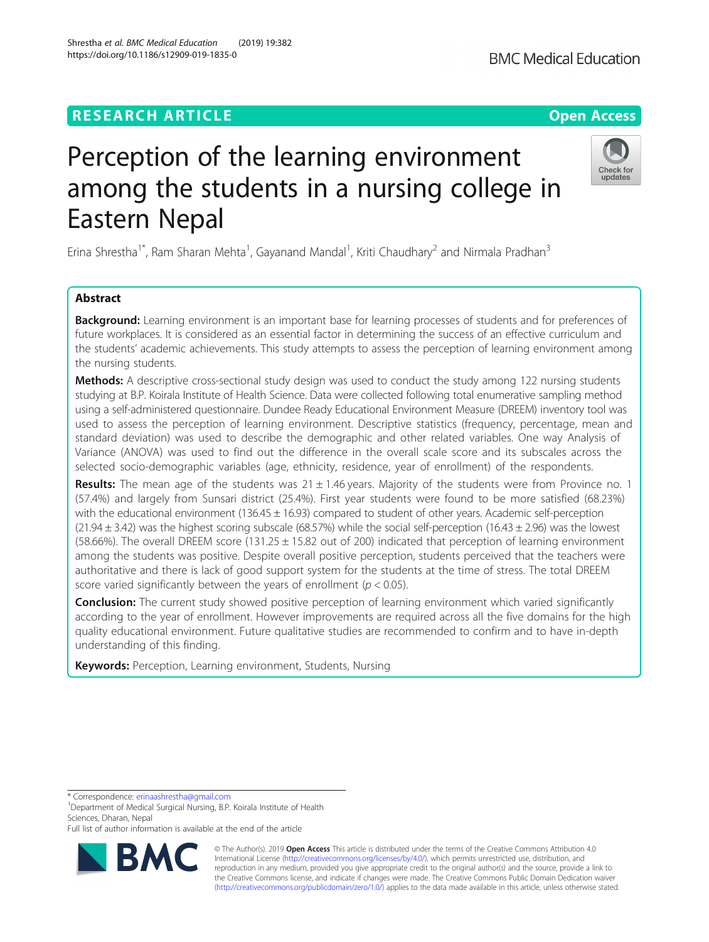# **RESEARCH ARTICLE Example 2014 12:30 The Contract of Contract ACCESS**

# Perception of the learning environment among the students in a nursing college in Eastern Nepal

Erina Shrestha<sup>1\*</sup>, Ram Sharan Mehta<sup>1</sup>, Gayanand Mandal<sup>1</sup>, Kriti Chaudhary<sup>2</sup> and Nirmala Pradhan<sup>3</sup>

# Abstract

Background: Learning environment is an important base for learning processes of students and for preferences of future workplaces. It is considered as an essential factor in determining the success of an effective curriculum and the students' academic achievements. This study attempts to assess the perception of learning environment among the nursing students.

Methods: A descriptive cross-sectional study design was used to conduct the study among 122 nursing students studying at B.P. Koirala Institute of Health Science. Data were collected following total enumerative sampling method using a self-administered questionnaire. Dundee Ready Educational Environment Measure (DREEM) inventory tool was used to assess the perception of learning environment. Descriptive statistics (frequency, percentage, mean and standard deviation) was used to describe the demographic and other related variables. One way Analysis of Variance (ANOVA) was used to find out the difference in the overall scale score and its subscales across the selected socio-demographic variables (age, ethnicity, residence, year of enrollment) of the respondents.

**Results:** The mean age of the students was  $21 \pm 1.46$  years. Majority of the students were from Province no. 1 (57.4%) and largely from Sunsari district (25.4%). First year students were found to be more satisfied (68.23%) with the educational environment (136.45  $\pm$  16.93) compared to student of other years. Academic self-perception  $(21.94 \pm 3.42)$  was the highest scoring subscale (68.57%) while the social self-perception (16.43  $\pm$  2.96) was the lowest (58.66%). The overall DREEM score (131.25  $\pm$  15.82 out of 200) indicated that perception of learning environment among the students was positive. Despite overall positive perception, students perceived that the teachers were authoritative and there is lack of good support system for the students at the time of stress. The total DREEM score varied significantly between the years of enrollment ( $p < 0.05$ ).

**Conclusion:** The current study showed positive perception of learning environment which varied significantly according to the year of enrollment. However improvements are required across all the five domains for the high quality educational environment. Future qualitative studies are recommended to confirm and to have in-depth understanding of this finding.

Keywords: Perception, Learning environment, Students, Nursing

\* Correspondence: [erinaashrestha@gmail.com](mailto:erinaashrestha@gmail.com) <sup>1</sup>

<sup>1</sup>Department of Medical Surgical Nursing, B.P. Koirala Institute of Health Sciences, Dharan, Nepal

Full list of author information is available at the end of the article

© The Author(s). 2019 **Open Access** This article is distributed under the terms of the Creative Commons Attribution 4.0 International License [\(http://creativecommons.org/licenses/by/4.0/](http://creativecommons.org/licenses/by/4.0/)), which permits unrestricted use, distribution, and reproduction in any medium, provided you give appropriate credit to the original author(s) and the source, provide a link to the Creative Commons license, and indicate if changes were made. The Creative Commons Public Domain Dedication waiver [\(http://creativecommons.org/publicdomain/zero/1.0/](http://creativecommons.org/publicdomain/zero/1.0/)) applies to the data made available in this article, unless otherwise stated.





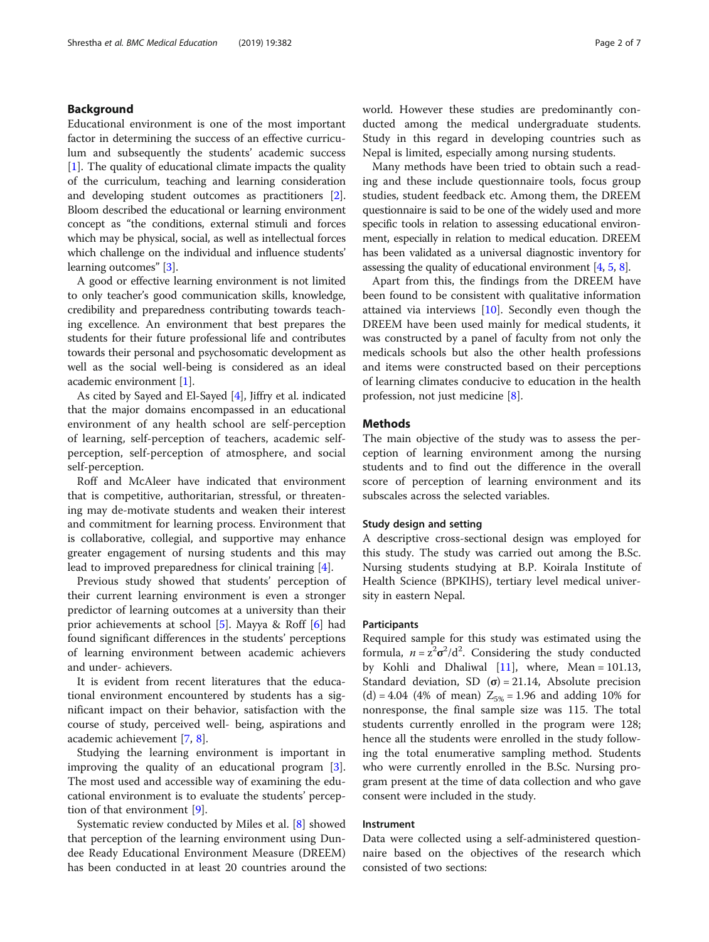# Background

Educational environment is one of the most important factor in determining the success of an effective curriculum and subsequently the students' academic success [[1\]](#page-5-0). The quality of educational climate impacts the quality of the curriculum, teaching and learning consideration and developing student outcomes as practitioners [[2](#page-5-0)]. Bloom described the educational or learning environment concept as "the conditions, external stimuli and forces which may be physical, social, as well as intellectual forces which challenge on the individual and influence students' learning outcomes" [[3\]](#page-6-0).

A good or effective learning environment is not limited to only teacher's good communication skills, knowledge, credibility and preparedness contributing towards teaching excellence. An environment that best prepares the students for their future professional life and contributes towards their personal and psychosomatic development as well as the social well-being is considered as an ideal academic environment [[1](#page-5-0)].

As cited by Sayed and El-Sayed [[4\]](#page-6-0), Jiffry et al. indicated that the major domains encompassed in an educational environment of any health school are self-perception of learning, self-perception of teachers, academic selfperception, self-perception of atmosphere, and social self-perception.

Roff and McAleer have indicated that environment that is competitive, authoritarian, stressful, or threatening may de-motivate students and weaken their interest and commitment for learning process. Environment that is collaborative, collegial, and supportive may enhance greater engagement of nursing students and this may lead to improved preparedness for clinical training [\[4](#page-6-0)].

Previous study showed that students' perception of their current learning environment is even a stronger predictor of learning outcomes at a university than their prior achievements at school [\[5](#page-6-0)]. Mayya & Roff [[6\]](#page-6-0) had found significant differences in the students' perceptions of learning environment between academic achievers and under- achievers.

It is evident from recent literatures that the educational environment encountered by students has a significant impact on their behavior, satisfaction with the course of study, perceived well- being, aspirations and academic achievement [[7,](#page-6-0) [8\]](#page-6-0).

Studying the learning environment is important in improving the quality of an educational program [\[3](#page-6-0)]. The most used and accessible way of examining the educational environment is to evaluate the students' perception of that environment [\[9](#page-6-0)].

Systematic review conducted by Miles et al. [[8\]](#page-6-0) showed that perception of the learning environment using Dundee Ready Educational Environment Measure (DREEM) has been conducted in at least 20 countries around the world. However these studies are predominantly conducted among the medical undergraduate students. Study in this regard in developing countries such as Nepal is limited, especially among nursing students.

Many methods have been tried to obtain such a reading and these include questionnaire tools, focus group studies, student feedback etc. Among them, the DREEM questionnaire is said to be one of the widely used and more specific tools in relation to assessing educational environment, especially in relation to medical education. DREEM has been validated as a universal diagnostic inventory for assessing the quality of educational environment [\[4](#page-6-0), [5,](#page-6-0) [8](#page-6-0)].

Apart from this, the findings from the DREEM have been found to be consistent with qualitative information attained via interviews [[10](#page-6-0)]. Secondly even though the DREEM have been used mainly for medical students, it was constructed by a panel of faculty from not only the medicals schools but also the other health professions and items were constructed based on their perceptions of learning climates conducive to education in the health profession, not just medicine [\[8](#page-6-0)].

# **Methods**

The main objective of the study was to assess the perception of learning environment among the nursing students and to find out the difference in the overall score of perception of learning environment and its subscales across the selected variables.

## Study design and setting

A descriptive cross-sectional design was employed for this study. The study was carried out among the B.Sc. Nursing students studying at B.P. Koirala Institute of Health Science (BPKIHS), tertiary level medical university in eastern Nepal.

# **Participants**

Required sample for this study was estimated using the formula,  $n = z^2 \sigma^2 / d^2$ . Considering the study conducted by Kohli and Dhaliwal  $[11]$ , where, Mean = 101.13, Standard deviation, SD  $(\sigma) = 21.14$ , Absolute precision (d) = 4.04 (4% of mean)  $Z_{5%}$  = 1.96 and adding 10% for nonresponse, the final sample size was 115. The total students currently enrolled in the program were 128; hence all the students were enrolled in the study following the total enumerative sampling method. Students who were currently enrolled in the B.Sc. Nursing program present at the time of data collection and who gave consent were included in the study.

# Instrument

Data were collected using a self-administered questionnaire based on the objectives of the research which consisted of two sections: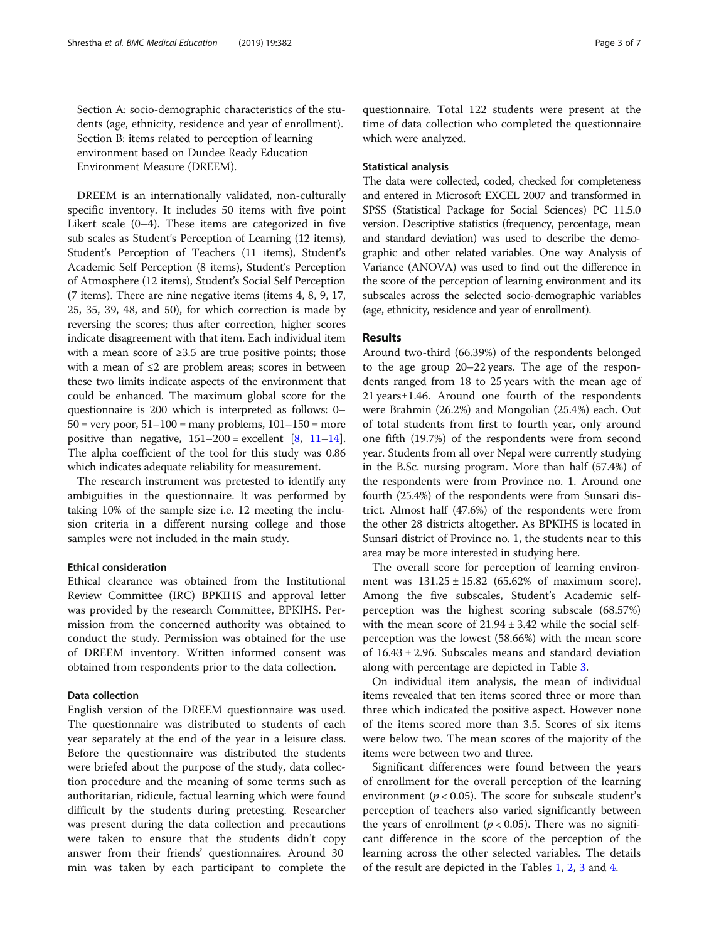Section A: socio-demographic characteristics of the students (age, ethnicity, residence and year of enrollment). Section B: items related to perception of learning environment based on Dundee Ready Education Environment Measure (DREEM).

DREEM is an internationally validated, non-culturally specific inventory. It includes 50 items with five point Likert scale (0–4). These items are categorized in five sub scales as Student's Perception of Learning (12 items), Student's Perception of Teachers (11 items), Student's Academic Self Perception (8 items), Student's Perception of Atmosphere (12 items), Student's Social Self Perception (7 items). There are nine negative items (items 4, 8, 9, 17, 25, 35, 39, 48, and 50), for which correction is made by reversing the scores; thus after correction, higher scores indicate disagreement with that item. Each individual item with a mean score of  $\geq 3.5$  are true positive points; those with a mean of  $\leq 2$  are problem areas; scores in between these two limits indicate aspects of the environment that could be enhanced. The maximum global score for the questionnaire is 200 which is interpreted as follows: 0–  $50 = \text{very poor}, 51 - 100 = \text{many problems}, 101 - 150 = \text{more}$ positive than negative,  $151-200 =$  excellent [\[8](#page-6-0),  $11-14$  $11-14$  $11-14$ ]. The alpha coefficient of the tool for this study was 0.86 which indicates adequate reliability for measurement.

The research instrument was pretested to identify any ambiguities in the questionnaire. It was performed by taking 10% of the sample size i.e. 12 meeting the inclusion criteria in a different nursing college and those samples were not included in the main study.

## Ethical consideration

Ethical clearance was obtained from the Institutional Review Committee (IRC) BPKIHS and approval letter was provided by the research Committee, BPKIHS. Permission from the concerned authority was obtained to conduct the study. Permission was obtained for the use of DREEM inventory. Written informed consent was obtained from respondents prior to the data collection.

# Data collection

English version of the DREEM questionnaire was used. The questionnaire was distributed to students of each year separately at the end of the year in a leisure class. Before the questionnaire was distributed the students were briefed about the purpose of the study, data collection procedure and the meaning of some terms such as authoritarian, ridicule, factual learning which were found difficult by the students during pretesting. Researcher was present during the data collection and precautions were taken to ensure that the students didn't copy answer from their friends' questionnaires. Around 30 min was taken by each participant to complete the

questionnaire. Total 122 students were present at the time of data collection who completed the questionnaire which were analyzed.

# Statistical analysis

The data were collected, coded, checked for completeness and entered in Microsoft EXCEL 2007 and transformed in SPSS (Statistical Package for Social Sciences) PC 11.5.0 version. Descriptive statistics (frequency, percentage, mean and standard deviation) was used to describe the demographic and other related variables. One way Analysis of Variance (ANOVA) was used to find out the difference in the score of the perception of learning environment and its subscales across the selected socio-demographic variables (age, ethnicity, residence and year of enrollment).

# Results

Around two-third (66.39%) of the respondents belonged to the age group 20–22 years. The age of the respondents ranged from 18 to 25 years with the mean age of 21 years±1.46. Around one fourth of the respondents were Brahmin (26.2%) and Mongolian (25.4%) each. Out of total students from first to fourth year, only around one fifth (19.7%) of the respondents were from second year. Students from all over Nepal were currently studying in the B.Sc. nursing program. More than half (57.4%) of the respondents were from Province no. 1. Around one fourth (25.4%) of the respondents were from Sunsari district. Almost half (47.6%) of the respondents were from the other 28 districts altogether. As BPKIHS is located in Sunsari district of Province no. 1, the students near to this area may be more interested in studying here.

The overall score for perception of learning environment was  $131.25 \pm 15.82$  (65.62% of maximum score). Among the five subscales, Student's Academic selfperception was the highest scoring subscale (68.57%) with the mean score of  $21.94 \pm 3.42$  while the social selfperception was the lowest (58.66%) with the mean score of 16.43 ± 2.96. Subscales means and standard deviation along with percentage are depicted in Table [3](#page-4-0).

On individual item analysis, the mean of individual items revealed that ten items scored three or more than three which indicated the positive aspect. However none of the items scored more than 3.5. Scores of six items were below two. The mean scores of the majority of the items were between two and three.

Significant differences were found between the years of enrollment for the overall perception of the learning environment ( $p < 0.05$ ). The score for subscale student's perception of teachers also varied significantly between the years of enrollment ( $p < 0.05$ ). There was no significant difference in the score of the perception of the learning across the other selected variables. The details of the result are depicted in the Tables [1,](#page-3-0) [2,](#page-4-0) [3](#page-4-0) and [4](#page-5-0).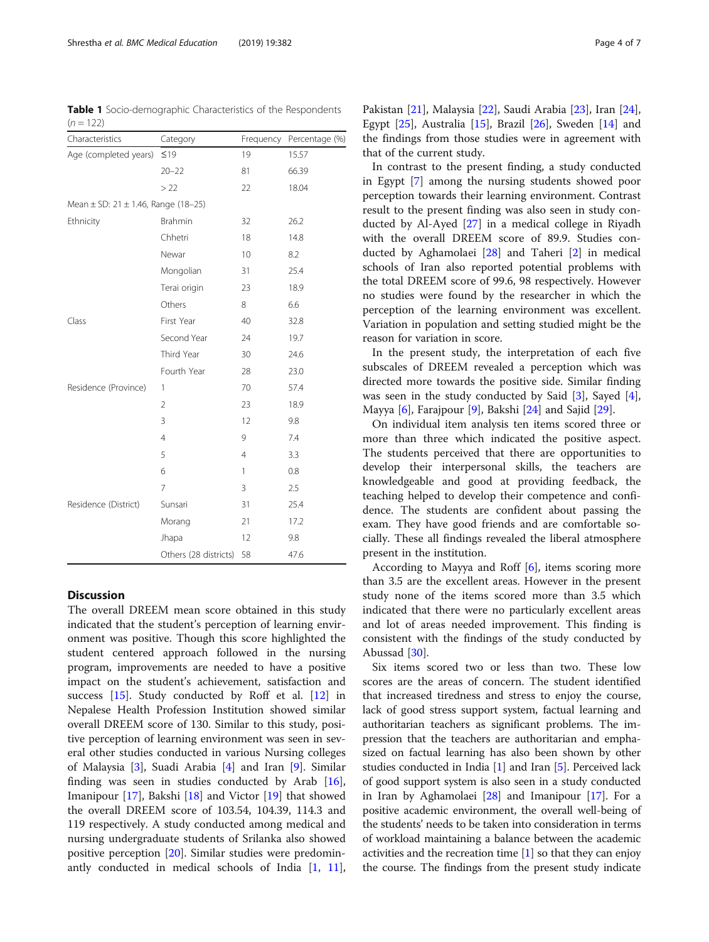Pakistan [\[21\]](#page-6-0), Malaysia [\[22\]](#page-6-0), Saudi Arabia [\[23](#page-6-0)], Iran [\[24](#page-6-0)], Egypt  $[25]$ , Australia  $[15]$  $[15]$ , Brazil  $[26]$  $[26]$ , Sweden  $[14]$  $[14]$  and the findings from those studies were in agreement with that of the current study.

In contrast to the present finding, a study conducted in Egypt [[7\]](#page-6-0) among the nursing students showed poor perception towards their learning environment. Contrast result to the present finding was also seen in study conducted by Al-Ayed [[27\]](#page-6-0) in a medical college in Riyadh with the overall DREEM score of 89.9. Studies conducted by Aghamolaei [\[28](#page-6-0)] and Taheri [\[2\]](#page-5-0) in medical schools of Iran also reported potential problems with the total DREEM score of 99.6, 98 respectively. However no studies were found by the researcher in which the perception of the learning environment was excellent. Variation in population and setting studied might be the reason for variation in score.

In the present study, the interpretation of each five subscales of DREEM revealed a perception which was directed more towards the positive side. Similar finding was seen in the study conducted by Said [[3\]](#page-6-0), Sayed [\[4](#page-6-0)], Mayya [[6](#page-6-0)], Farajpour [\[9](#page-6-0)], Bakshi [\[24](#page-6-0)] and Sajid [[29\]](#page-6-0).

On individual item analysis ten items scored three or more than three which indicated the positive aspect. The students perceived that there are opportunities to develop their interpersonal skills, the teachers are knowledgeable and good at providing feedback, the teaching helped to develop their competence and confidence. The students are confident about passing the exam. They have good friends and are comfortable socially. These all findings revealed the liberal atmosphere present in the institution.

According to Mayya and Roff [[6\]](#page-6-0), items scoring more than 3.5 are the excellent areas. However in the present study none of the items scored more than 3.5 which indicated that there were no particularly excellent areas and lot of areas needed improvement. This finding is consistent with the findings of the study conducted by Abussad [\[30](#page-6-0)].

Six items scored two or less than two. These low scores are the areas of concern. The student identified that increased tiredness and stress to enjoy the course, lack of good stress support system, factual learning and authoritarian teachers as significant problems. The impression that the teachers are authoritarian and emphasized on factual learning has also been shown by other studies conducted in India [\[1](#page-5-0)] and Iran [\[5](#page-6-0)]. Perceived lack of good support system is also seen in a study conducted in Iran by Aghamolaei [[28](#page-6-0)] and Imanipour [\[17\]](#page-6-0). For a positive academic environment, the overall well-being of the students' needs to be taken into consideration in terms of workload maintaining a balance between the academic activities and the recreation time  $[1]$  so that they can enjoy the course. The findings from the present study indicate

<span id="page-3-0"></span>Table 1 Socio-demographic Characteristics of the Respondents  $(n = 122)$ 

| Characteristics                             | Category              |                | Frequency Percentage (%) |
|---------------------------------------------|-----------------------|----------------|--------------------------|
| Age (completed years)                       | $\leq$ 19             | 19             | 15.57                    |
|                                             | $20 - 22$             | 81             | 66.39                    |
|                                             | > 22                  | 22             | 18.04                    |
| Mean $\pm$ SD: 21 $\pm$ 1.46, Range (18-25) |                       |                |                          |
| Ethnicity                                   | <b>Brahmin</b>        | 32             | 26.2                     |
|                                             | Chhetri               | 18             | 14.8                     |
|                                             | Newar                 | 10             | 8.2                      |
|                                             | Mongolian             | 31             | 25.4                     |
|                                             | Terai origin          | 23             | 18.9                     |
|                                             | Others                | 8              | 6.6                      |
| Class                                       | First Year            | 40             | 32.8                     |
|                                             | Second Year           | 24             | 19.7                     |
|                                             | Third Year            | 30             | 24.6                     |
|                                             | Fourth Year           | 28             | 23.0                     |
| Residence (Province)                        | $\mathbf{1}$          | 70             | 57.4                     |
|                                             | $\overline{2}$        | 23             | 18.9                     |
|                                             | 3                     | 12             | 9.8                      |
|                                             | $\overline{4}$        | 9              | 7.4                      |
|                                             | 5                     | $\overline{4}$ | 3.3                      |
|                                             | 6                     | 1              | 0.8                      |
|                                             | $\overline{7}$        | 3              | 2.5                      |
| Residence (District)                        | Sunsari               | 31             | 25.4                     |
|                                             | Morang                | 21             | 17.2                     |
|                                             | Jhapa                 | 12             | 9.8                      |
|                                             | Others (28 districts) | 58             | 47.6                     |

## **Discussion**

The overall DREEM mean score obtained in this study indicated that the student's perception of learning environment was positive. Though this score highlighted the student centered approach followed in the nursing program, improvements are needed to have a positive impact on the student's achievement, satisfaction and success  $[15]$  $[15]$  $[15]$ . Study conducted by Roff et al.  $[12]$  $[12]$  in Nepalese Health Profession Institution showed similar overall DREEM score of 130. Similar to this study, positive perception of learning environment was seen in several other studies conducted in various Nursing colleges of Malaysia [[3\]](#page-6-0), Suadi Arabia [[4\]](#page-6-0) and Iran [[9\]](#page-6-0). Similar finding was seen in studies conducted by Arab  $[16]$  $[16]$ , Imanipour [\[17](#page-6-0)], Bakshi [[18\]](#page-6-0) and Victor [\[19](#page-6-0)] that showed the overall DREEM score of 103.54, 104.39, 114.3 and 119 respectively. A study conducted among medical and nursing undergraduate students of Srilanka also showed positive perception [[20](#page-6-0)]. Similar studies were predominantly conducted in medical schools of India [\[1](#page-5-0), [11](#page-6-0)],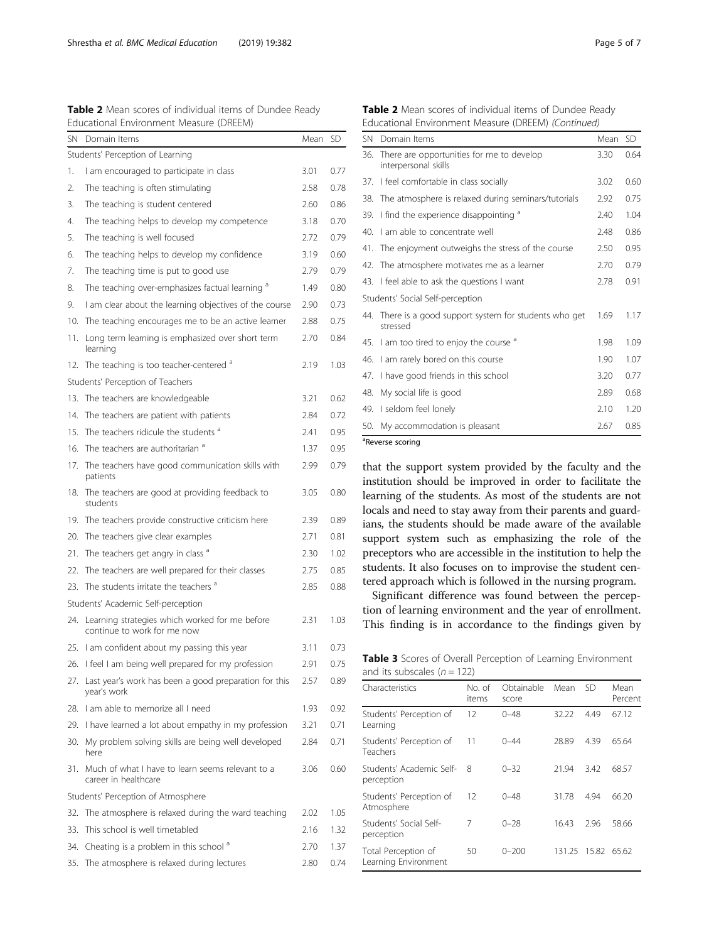<span id="page-4-0"></span>

| Table 2 Mean scores of individual items of Dundee Ready |  |
|---------------------------------------------------------|--|
| Educational Environment Measure (DREEM)                 |  |

|     | Laucational Litvitonnent Measure (DITLENT)                                    |      |      |
|-----|-------------------------------------------------------------------------------|------|------|
| SN  | Domain Items                                                                  | Mean | SD   |
|     | Students' Perception of Learning                                              |      |      |
| 1.  | I am encouraged to participate in class                                       | 3.01 | 0.77 |
| 2.  | The teaching is often stimulating                                             | 2.58 | 0.78 |
| 3.  | The teaching is student centered                                              | 2.60 | 0.86 |
| 4.  | The teaching helps to develop my competence                                   | 3.18 | 0.70 |
| 5.  | The teaching is well focused                                                  | 2.72 | 0.79 |
| 6.  | The teaching helps to develop my confidence                                   | 3.19 | 0.60 |
| 7.  | The teaching time is put to good use                                          | 2.79 | 0.79 |
| 8.  | The teaching over-emphasizes factual learning <sup>a</sup>                    | 1.49 | 0.80 |
| 9.  | I am clear about the learning objectives of the course                        | 2.90 | 0.73 |
| 10. | The teaching encourages me to be an active learner                            | 2.88 | 0.75 |
| 11. | Long term learning is emphasized over short term<br>learning                  | 2.70 | 0.84 |
| 12. | The teaching is too teacher-centered <sup>a</sup>                             | 2.19 | 1.03 |
|     | Students' Perception of Teachers                                              |      |      |
| 13. | The teachers are knowledgeable                                                | 3.21 | 0.62 |
| 14. | The teachers are patient with patients                                        | 2.84 | 0.72 |
| 15. | The teachers ridicule the students a                                          | 2.41 | 0.95 |
| 16. | The teachers are authoritarian a                                              | 1.37 | 0.95 |
| 17. | The teachers have good communication skills with<br>patients                  | 2.99 | 0.79 |
| 18. | The teachers are good at providing feedback to<br>students                    | 3.05 | 0.80 |
| 19. | The teachers provide constructive criticism here                              | 2.39 | 0.89 |
| 20. | The teachers give clear examples                                              | 2.71 | 0.81 |
| 21. | The teachers get angry in class a                                             | 2.30 | 1.02 |
| 22. | The teachers are well prepared for their classes                              | 2.75 | 0.85 |
| 23. | The students irritate the teachers <sup>a</sup>                               | 2.85 | 0.88 |
|     | Students' Academic Self-perception                                            |      |      |
| 24. | Learning strategies which worked for me before<br>continue to work for me now | 2.31 | 1.03 |
|     | 25. I am confident about my passing this year                                 | 3.11 | 0.73 |
| 26. | I feel I am being well prepared for my profession                             | 2.91 | 0.75 |
| 27. | Last year's work has been a good preparation for this<br>year's work          | 2.57 | 0.89 |
| 28. | I am able to memorize all I need                                              | 1.93 | 0.92 |
| 29. | I have learned a lot about empathy in my profession                           | 3.21 | 0.71 |
| 30. | My problem solving skills are being well developed<br>here                    | 2.84 | 0.71 |
| 31. | Much of what I have to learn seems relevant to a<br>career in healthcare      | 3.06 | 0.60 |
|     | Students' Perception of Atmosphere                                            |      |      |
| 32. | The atmosphere is relaxed during the ward teaching                            | 2.02 | 1.05 |
| 33. | This school is well timetabled                                                | 2.16 | 1.32 |
| 34. | Cheating is a problem in this school <sup>a</sup>                             | 2.70 | 1.37 |
|     | 35. The atmosphere is relaxed during lectures                                 | 2.80 | 0.74 |

| Table 2 Mean scores of individual items of Dundee Ready |  |
|---------------------------------------------------------|--|
| Educational Environment Measure (DREEM) (Continued)     |  |

| <b>SN</b> | Domain Items                                                        | Mean | SD.  |
|-----------|---------------------------------------------------------------------|------|------|
| 36.       | There are opportunities for me to develop<br>interpersonal skills   | 3.30 | 0.64 |
| 37.       | I feel comfortable in class socially                                | 3.02 | 0.60 |
| 38.       | The atmosphere is relaxed during seminars/tutorials                 | 2.92 | 0.75 |
| 39.       | I find the experience disappointing <sup>a</sup>                    | 2.40 | 1.04 |
| 40.       | I am able to concentrate well                                       | 2.48 | 0.86 |
| 41.       | The enjoyment outweighs the stress of the course                    | 2.50 | 0.95 |
| 42.       | The atmosphere motivates me as a learner                            | 2.70 | 0.79 |
| 43.       | I feel able to ask the questions I want                             | 2.78 | 0.91 |
|           | Students' Social Self-perception                                    |      |      |
|           | 44. There is a good support system for students who get<br>stressed | 1.69 | 1.17 |
| 45.       | I am too tired to enjoy the course <sup>a</sup>                     | 1.98 | 1.09 |
| 46.       | I am rarely bored on this course                                    | 1.90 | 1.07 |
| 47.       | I have good friends in this school                                  | 3.20 | 0.77 |
| 48.       | My social life is good                                              | 2.89 | 0.68 |
| 49.       | I seldom feel lonely                                                | 2.10 | 1.20 |
| 50.       | My accommodation is pleasant                                        | 2.67 | 0.85 |

a Reverse scoring

that the support system provided by the faculty and the institution should be improved in order to facilitate the learning of the students. As most of the students are not locals and need to stay away from their parents and guardians, the students should be made aware of the available support system such as emphasizing the role of the preceptors who are accessible in the institution to help the students. It also focuses on to improvise the student centered approach which is followed in the nursing program.

Significant difference was found between the perception of learning environment and the year of enrollment. This finding is in accordance to the findings given by

| Table 3 Scores of Overall Perception of Learning Environment |  |
|--------------------------------------------------------------|--|
| and its subscales $(n = 122)$                                |  |

| Characteristics                             | No. of<br>items | Obtainable<br>score | Mean  | SD           | Mean<br>Percent |
|---------------------------------------------|-----------------|---------------------|-------|--------------|-----------------|
| Students' Perception of<br>Learning         | 12              | $0 - 48$            | 32.22 | 4.49         | 67.12           |
| Students' Perception of<br>Teachers         | 11              | 0–44                | 28.89 | 4.39         | 65.64           |
| Students' Academic Self-<br>perception      | 8               | $0 - 32$            | 21.94 | 3.42         | 68.57           |
| Students' Perception of<br>Atmosphere       | 12              | $0 - 48$            | 31.78 | 4.94         | 66.20           |
| Students' Social Self-<br>perception        | 7               | $0 - 28$            | 16.43 | 2.96         | 58.66           |
| Total Perception of<br>Learning Environment | 50              | $0 - 200$           |       | 131.25 15.82 | 65.62           |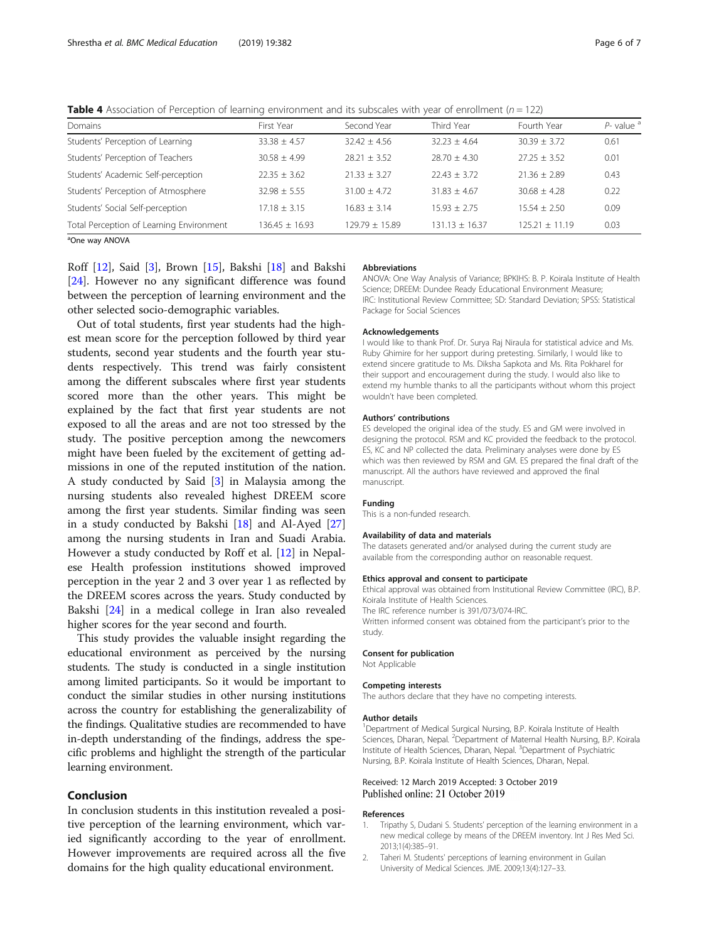<span id="page-5-0"></span>**Table 4** Association of Perception of learning environment and its subscales with year of enrollment ( $n = 122$ )

| Domains                                  | First Year       | Second Year        | Third Year         | Fourth Year        | $P-$ value $a$ |
|------------------------------------------|------------------|--------------------|--------------------|--------------------|----------------|
| Students' Perception of Learning         | $33.38 + 4.57$   | $32.42 + 4.56$     | $32.23 + 4.64$     | $30.39 + 3.72$     | 0.61           |
| Students' Perception of Teachers         | $30.58 + 4.99$   | $28.21 + 3.52$     | $28.70 + 4.30$     | $27.25 + 3.52$     | 0.01           |
| Students' Academic Self-perception       | $22.35 + 3.62$   | $21.33 + 3.27$     | $22.43 + 3.72$     | $21.36 + 2.89$     | 0.43           |
| Students' Perception of Atmosphere       | $32.98 + 5.55$   | $31.00 + 4.72$     | $31.83 + 4.67$     | $30.68 + 4.28$     | 0.22           |
| Students' Social Self-perception         | $17.18 \pm 3.15$ | $16.83 + 3.14$     | $15.93 + 2.75$     | $15.54 + 2.50$     | 0.09           |
| Total Perception of Learning Environment | $136.45 + 16.93$ | $129.79 \pm 15.89$ | $131.13 \pm 16.37$ | $125.21 \pm 11.19$ | 0.03           |

<sup>a</sup>One way ANOVA

Roff [[12\]](#page-6-0), Said [[3\]](#page-6-0), Brown [[15\]](#page-6-0), Bakshi [\[18](#page-6-0)] and Bakshi [[24\]](#page-6-0). However no any significant difference was found between the perception of learning environment and the other selected socio-demographic variables.

Out of total students, first year students had the highest mean score for the perception followed by third year students, second year students and the fourth year students respectively. This trend was fairly consistent among the different subscales where first year students scored more than the other years. This might be explained by the fact that first year students are not exposed to all the areas and are not too stressed by the study. The positive perception among the newcomers might have been fueled by the excitement of getting admissions in one of the reputed institution of the nation. A study conducted by Said [\[3](#page-6-0)] in Malaysia among the nursing students also revealed highest DREEM score among the first year students. Similar finding was seen in a study conducted by Bakshi [\[18](#page-6-0)] and Al-Ayed [[27](#page-6-0)] among the nursing students in Iran and Suadi Arabia. However a study conducted by Roff et al. [\[12](#page-6-0)] in Nepalese Health profession institutions showed improved perception in the year 2 and 3 over year 1 as reflected by the DREEM scores across the years. Study conducted by Bakshi [[24](#page-6-0)] in a medical college in Iran also revealed higher scores for the year second and fourth.

This study provides the valuable insight regarding the educational environment as perceived by the nursing students. The study is conducted in a single institution among limited participants. So it would be important to conduct the similar studies in other nursing institutions across the country for establishing the generalizability of the findings. Qualitative studies are recommended to have in-depth understanding of the findings, address the specific problems and highlight the strength of the particular learning environment.

# Conclusion

In conclusion students in this institution revealed a positive perception of the learning environment, which varied significantly according to the year of enrollment. However improvements are required across all the five domains for the high quality educational environment.

#### Abbreviations

ANOVA: One Way Analysis of Variance; BPKIHS: B. P. Koirala Institute of Health Science; DREEM: Dundee Ready Educational Environment Measure; IRC: Institutional Review Committee; SD: Standard Deviation; SPSS: Statistical Package for Social Sciences

#### Acknowledgements

I would like to thank Prof. Dr. Surya Raj Niraula for statistical advice and Ms. Ruby Ghimire for her support during pretesting. Similarly, I would like to extend sincere gratitude to Ms. Diksha Sapkota and Ms. Rita Pokharel for their support and encouragement during the study. I would also like to extend my humble thanks to all the participants without whom this project wouldn't have been completed.

#### Authors' contributions

ES developed the original idea of the study. ES and GM were involved in designing the protocol. RSM and KC provided the feedback to the protocol. ES, KC and NP collected the data. Preliminary analyses were done by ES which was then reviewed by RSM and GM. ES prepared the final draft of the manuscript. All the authors have reviewed and approved the final manuscript.

#### Funding

This is a non-funded research.

#### Availability of data and materials

The datasets generated and/or analysed during the current study are available from the corresponding author on reasonable request.

#### Ethics approval and consent to participate

Ethical approval was obtained from Institutional Review Committee (IRC), B.P. Koirala Institute of Health Sciences.

The IRC reference number is 391/073/074-IRC.

Written informed consent was obtained from the participant's prior to the study.

#### Consent for publication

Not Applicable

#### Competing interests

The authors declare that they have no competing interests.

#### Author details

<sup>1</sup>Department of Medical Surgical Nursing, B.P. Koirala Institute of Health Sciences, Dharan, Nepal. <sup>2</sup>Department of Maternal Health Nursing, B.P. Koirala Institute of Health Sciences, Dharan, Nepal. <sup>3</sup>Department of Psychiatric Nursing, B.P. Koirala Institute of Health Sciences, Dharan, Nepal.

# Received: 12 March 2019 Accepted: 3 October 2019 Published online: 21 October 2019

#### References

- 1. Tripathy S, Dudani S. Students' perception of the learning environment in a new medical college by means of the DREEM inventory. Int J Res Med Sci. 2013;1(4):385–91.
- 2. Taheri M. Students' perceptions of learning environment in Guilan University of Medical Sciences. JME. 2009;13(4):127–33.